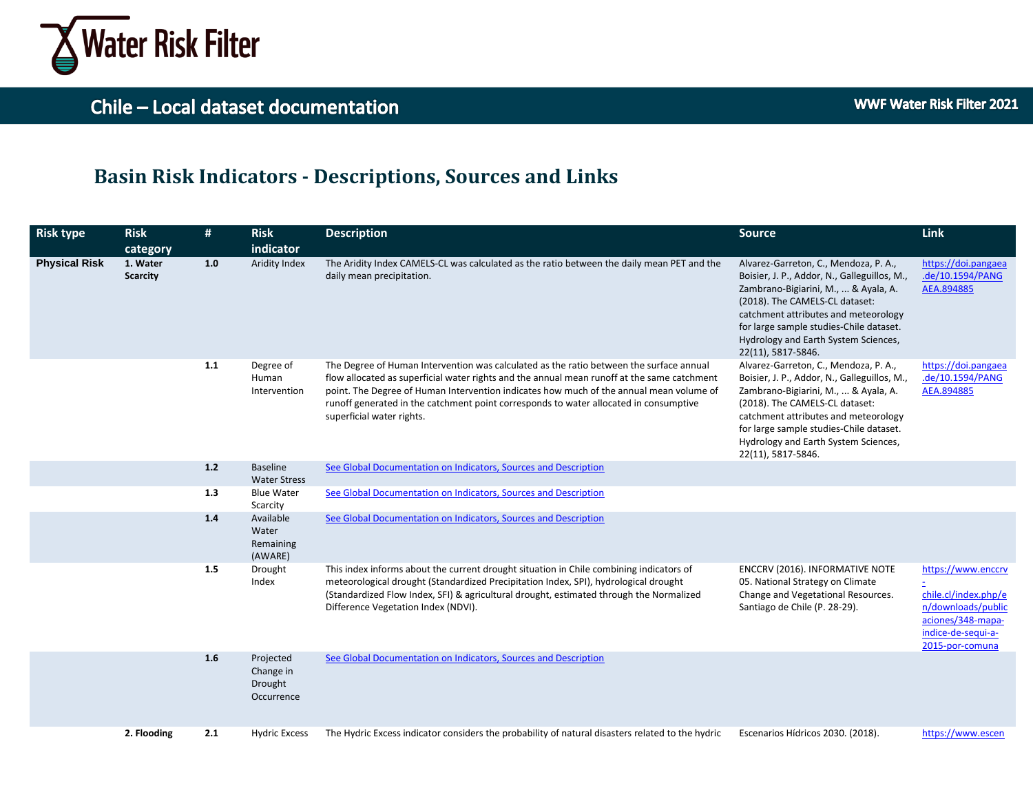

### **Basin Risk Indicators - Descriptions, Sources and Links**

| <b>Risk type</b>     | <b>Risk</b>                             | #     | <b>Risk</b>                                     | <b>Description</b>                                                                                                                                                                                                                                                                                                                                                                                      | Source                                                                                                                                                                                                                                                                                                           | <b>Link</b>                                                                                                                    |
|----------------------|-----------------------------------------|-------|-------------------------------------------------|---------------------------------------------------------------------------------------------------------------------------------------------------------------------------------------------------------------------------------------------------------------------------------------------------------------------------------------------------------------------------------------------------------|------------------------------------------------------------------------------------------------------------------------------------------------------------------------------------------------------------------------------------------------------------------------------------------------------------------|--------------------------------------------------------------------------------------------------------------------------------|
| <b>Physical Risk</b> | category<br>1. Water<br><b>Scarcity</b> | 1.0   | indicator<br>Aridity Index                      | The Aridity Index CAMELS-CL was calculated as the ratio between the daily mean PET and the<br>daily mean precipitation.                                                                                                                                                                                                                                                                                 | Alvarez-Garreton, C., Mendoza, P. A.,<br>Boisier, J. P., Addor, N., Galleguillos, M.,<br>Zambrano-Bigiarini, M.,  & Ayala, A.<br>(2018). The CAMELS-CL dataset:<br>catchment attributes and meteorology<br>for large sample studies-Chile dataset.<br>Hydrology and Earth System Sciences,<br>22(11), 5817-5846. | https://doi.pangaea<br>.de/10.1594/PANG<br>AEA.894885                                                                          |
|                      |                                         | 1.1   | Degree of<br>Human<br>Intervention              | The Degree of Human Intervention was calculated as the ratio between the surface annual<br>flow allocated as superficial water rights and the annual mean runoff at the same catchment<br>point. The Degree of Human Intervention indicates how much of the annual mean volume of<br>runoff generated in the catchment point corresponds to water allocated in consumptive<br>superficial water rights. | Alvarez-Garreton, C., Mendoza, P. A.,<br>Boisier, J. P., Addor, N., Galleguillos, M.,<br>Zambrano-Bigiarini, M.,  & Ayala, A.<br>(2018). The CAMELS-CL dataset:<br>catchment attributes and meteorology<br>for large sample studies-Chile dataset.<br>Hydrology and Earth System Sciences,<br>22(11), 5817-5846. | https://doi.pangaea<br>.de/10.1594/PANG<br>AEA.894885                                                                          |
|                      |                                         | $1.2$ | <b>Baseline</b><br><b>Water Stress</b>          | See Global Documentation on Indicators, Sources and Description                                                                                                                                                                                                                                                                                                                                         |                                                                                                                                                                                                                                                                                                                  |                                                                                                                                |
|                      |                                         | 1.3   | <b>Blue Water</b><br>Scarcity                   | See Global Documentation on Indicators, Sources and Description                                                                                                                                                                                                                                                                                                                                         |                                                                                                                                                                                                                                                                                                                  |                                                                                                                                |
|                      |                                         | $1.4$ | Available<br>Water<br>Remaining<br>(AWARE)      | See Global Documentation on Indicators, Sources and Description                                                                                                                                                                                                                                                                                                                                         |                                                                                                                                                                                                                                                                                                                  |                                                                                                                                |
|                      |                                         | 1.5   | Drought<br>Index                                | This index informs about the current drought situation in Chile combining indicators of<br>meteorological drought (Standardized Precipitation Index, SPI), hydrological drought<br>(Standardized Flow Index, SFI) & agricultural drought, estimated through the Normalized<br>Difference Vegetation Index (NDVI).                                                                                       | ENCCRV (2016). INFORMATIVE NOTE<br>05. National Strategy on Climate<br>Change and Vegetational Resources.<br>Santiago de Chile (P. 28-29).                                                                                                                                                                       | https://www.enccrv<br>chile.cl/index.php/e<br>n/downloads/public<br>aciones/348-mapa-<br>indice-de-sequi-a-<br>2015-por-comuna |
|                      |                                         | 1.6   | Projected<br>Change in<br>Drought<br>Occurrence | See Global Documentation on Indicators, Sources and Description                                                                                                                                                                                                                                                                                                                                         |                                                                                                                                                                                                                                                                                                                  |                                                                                                                                |
|                      | 2. Flooding                             | 2.1   | <b>Hydric Excess</b>                            | The Hydric Excess indicator considers the probability of natural disasters related to the hydric                                                                                                                                                                                                                                                                                                        | Escenarios Hídricos 2030. (2018).                                                                                                                                                                                                                                                                                | https://www.escen                                                                                                              |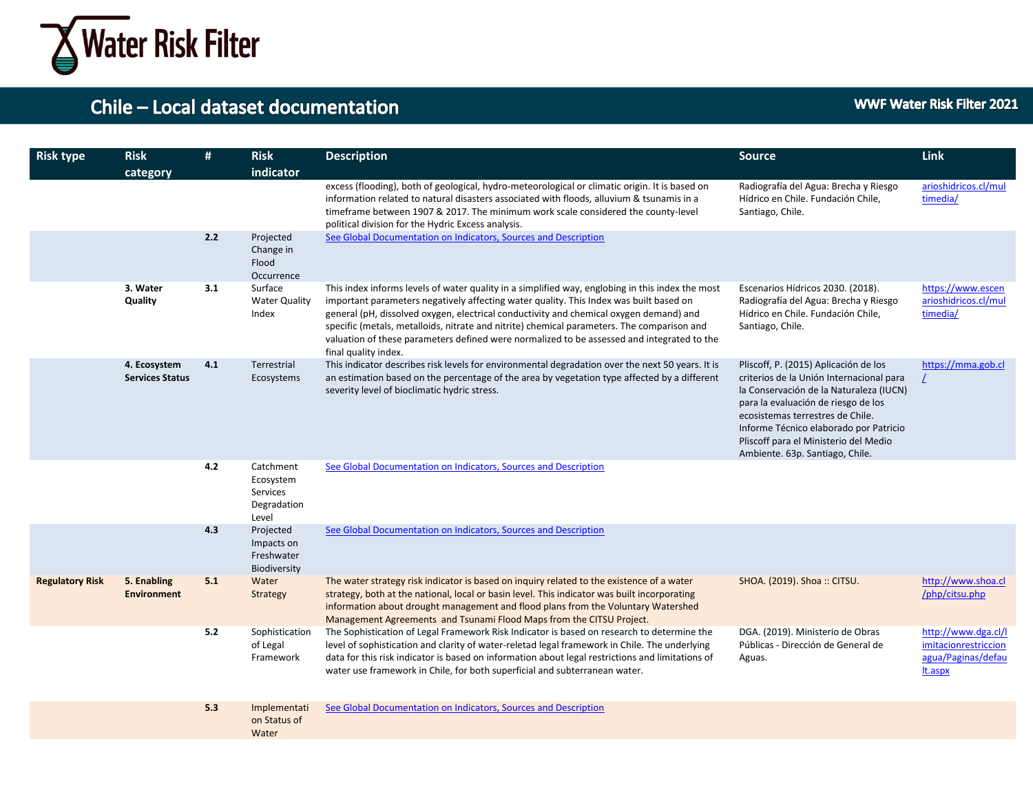

| <b>Risk type</b>       | <b>Risk</b><br>category                | #   | <b>Risk</b><br>indicator                                   | <b>Description</b>                                                                                                                                                                                                                                                                                                                                                                                                                                                                                       | <b>Source</b>                                                                                                                                                                                                                                                                                                                 | <b>Link</b>                                                                  |
|------------------------|----------------------------------------|-----|------------------------------------------------------------|----------------------------------------------------------------------------------------------------------------------------------------------------------------------------------------------------------------------------------------------------------------------------------------------------------------------------------------------------------------------------------------------------------------------------------------------------------------------------------------------------------|-------------------------------------------------------------------------------------------------------------------------------------------------------------------------------------------------------------------------------------------------------------------------------------------------------------------------------|------------------------------------------------------------------------------|
|                        |                                        |     |                                                            | excess (flooding), both of geological, hydro-meteorological or climatic origin. It is based on<br>information related to natural disasters associated with floods, alluvium & tsunamis in a<br>timeframe between 1907 & 2017. The minimum work scale considered the county-level<br>political division for the Hydric Excess analysis.                                                                                                                                                                   | Radiografía del Agua: Brecha y Riesgo<br>Hídrico en Chile. Fundación Chile,<br>Santiago, Chile.                                                                                                                                                                                                                               | arioshidricos.cl/mul<br>timedia/                                             |
|                        |                                        | 2.2 | Projected<br>Change in<br>Flood<br>Occurrence              | See Global Documentation on Indicators, Sources and Description                                                                                                                                                                                                                                                                                                                                                                                                                                          |                                                                                                                                                                                                                                                                                                                               |                                                                              |
|                        | 3. Water<br>Quality                    | 3.1 | Surface<br><b>Water Quality</b><br>Index                   | This index informs levels of water quality in a simplified way, englobing in this index the most<br>important parameters negatively affecting water quality. This Index was built based on<br>general (pH, dissolved oxygen, electrical conductivity and chemical oxygen demand) and<br>specific (metals, metalloids, nitrate and nitrite) chemical parameters. The comparison and<br>valuation of these parameters defined were normalized to be assessed and integrated to the<br>final quality index. | Escenarios Hídricos 2030. (2018).<br>Radiografía del Agua: Brecha y Riesgo<br>Hídrico en Chile. Fundación Chile,<br>Santiago, Chile.                                                                                                                                                                                          | https://www.escen<br>arioshidricos.cl/mul<br>timedia/                        |
|                        | 4. Ecosystem<br><b>Services Status</b> | 4.1 | Terrestrial<br>Ecosystems                                  | This indicator describes risk levels for environmental degradation over the next 50 years. It is<br>an estimation based on the percentage of the area by vegetation type affected by a different<br>severity level of bioclimatic hydric stress.                                                                                                                                                                                                                                                         | Pliscoff, P. (2015) Aplicación de los<br>criterios de la Unión Internacional para<br>la Conservación de la Naturaleza (IUCN)<br>para la evaluación de riesgo de los<br>ecosistemas terrestres de Chile.<br>Informe Técnico elaborado por Patricio<br>Pliscoff para el Ministerio del Medio<br>Ambiente. 63p. Santiago, Chile. | https://mma.gob.cl                                                           |
|                        |                                        | 4.2 | Catchment<br>Ecosystem<br>Services<br>Degradation<br>Level | See Global Documentation on Indicators, Sources and Description                                                                                                                                                                                                                                                                                                                                                                                                                                          |                                                                                                                                                                                                                                                                                                                               |                                                                              |
|                        |                                        | 4.3 | Projected<br>Impacts on<br>Freshwater<br>Biodiversity      | See Global Documentation on Indicators, Sources and Description                                                                                                                                                                                                                                                                                                                                                                                                                                          |                                                                                                                                                                                                                                                                                                                               |                                                                              |
| <b>Regulatory Risk</b> | 5. Enabling<br><b>Environment</b>      | 5.1 | Water<br>Strategy                                          | The water strategy risk indicator is based on inquiry related to the existence of a water<br>strategy, both at the national, local or basin level. This indicator was built incorporating<br>information about drought management and flood plans from the Voluntary Watershed<br>Management Agreements and Tsunami Flood Maps from the CITSU Project.                                                                                                                                                   | SHOA. (2019). Shoa :: CITSU.                                                                                                                                                                                                                                                                                                  | http://www.shoa.cl<br>/php/citsu.php                                         |
|                        |                                        | 5.2 | Sophistication<br>of Legal<br>Framework                    | The Sophistication of Legal Framework Risk Indicator is based on research to determine the<br>level of sophistication and clarity of water-reletad legal framework in Chile. The underlying<br>data for this risk indicator is based on information about legal restrictions and limitations of<br>water use framework in Chile, for both superficial and subterranean water.                                                                                                                            | DGA. (2019). Ministerio de Obras<br>Públicas - Dirección de General de<br>Aguas.                                                                                                                                                                                                                                              | http://www.dga.cl/l<br>imitacionrestriccion<br>agua/Paginas/defau<br>lt.aspx |
|                        |                                        | 5.3 | Implementati<br>on Status of<br>Water                      | See Global Documentation on Indicators, Sources and Description                                                                                                                                                                                                                                                                                                                                                                                                                                          |                                                                                                                                                                                                                                                                                                                               |                                                                              |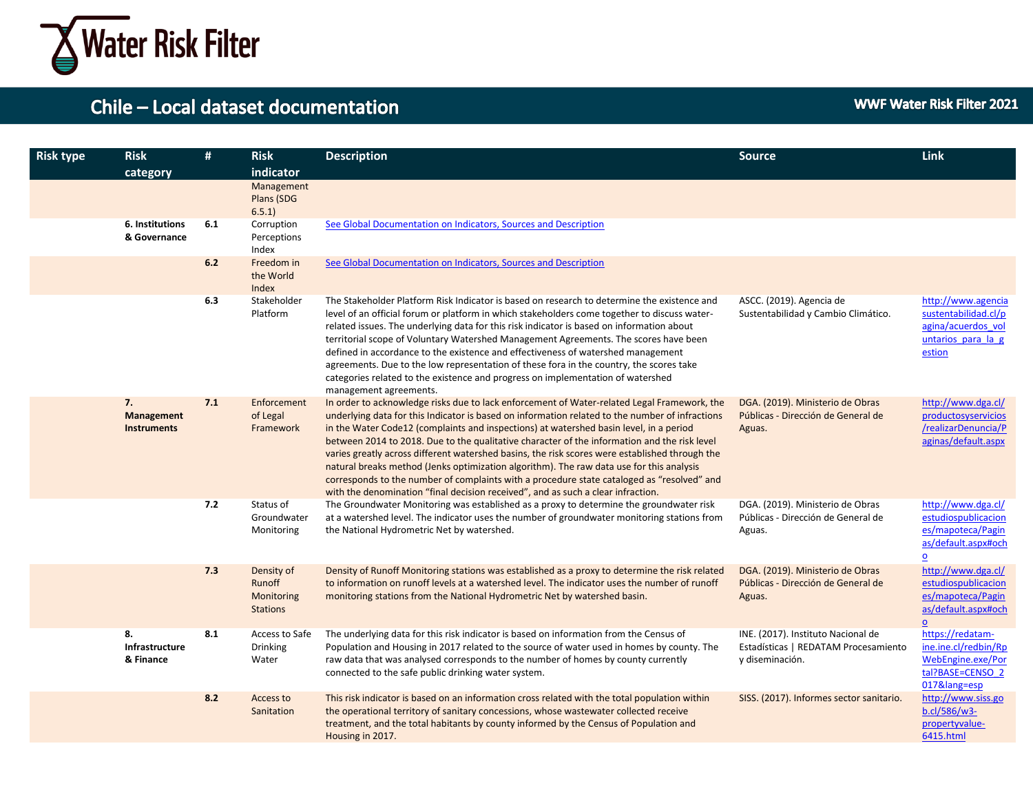

| <b>Risk type</b> | <b>Risk</b><br>category                | #   | <b>Risk</b><br>indicator                              | <b>Description</b>                                                                                                                                                                                                                                                                                                                                                                                                                                                                                                                                                                                                                                                                                                                                                       | <b>Source</b>                                                                                 | <b>Link</b>                                                                                                      |
|------------------|----------------------------------------|-----|-------------------------------------------------------|--------------------------------------------------------------------------------------------------------------------------------------------------------------------------------------------------------------------------------------------------------------------------------------------------------------------------------------------------------------------------------------------------------------------------------------------------------------------------------------------------------------------------------------------------------------------------------------------------------------------------------------------------------------------------------------------------------------------------------------------------------------------------|-----------------------------------------------------------------------------------------------|------------------------------------------------------------------------------------------------------------------|
|                  |                                        |     | Management<br>Plans (SDG<br>6.5.1                     |                                                                                                                                                                                                                                                                                                                                                                                                                                                                                                                                                                                                                                                                                                                                                                          |                                                                                               |                                                                                                                  |
|                  | 6. Institutions<br>& Governance        | 6.1 | Corruption<br>Perceptions<br>Index                    | See Global Documentation on Indicators, Sources and Description                                                                                                                                                                                                                                                                                                                                                                                                                                                                                                                                                                                                                                                                                                          |                                                                                               |                                                                                                                  |
|                  |                                        | 6.2 | Freedom in<br>the World<br>Index                      | See Global Documentation on Indicators, Sources and Description                                                                                                                                                                                                                                                                                                                                                                                                                                                                                                                                                                                                                                                                                                          |                                                                                               |                                                                                                                  |
|                  |                                        | 6.3 | Stakeholder<br>Platform                               | The Stakeholder Platform Risk Indicator is based on research to determine the existence and<br>level of an official forum or platform in which stakeholders come together to discuss water-<br>related issues. The underlying data for this risk indicator is based on information about<br>territorial scope of Voluntary Watershed Management Agreements. The scores have been<br>defined in accordance to the existence and effectiveness of watershed management<br>agreements. Due to the low representation of these fora in the country, the scores take<br>categories related to the existence and progress on implementation of watershed<br>management agreements.                                                                                             | ASCC. (2019). Agencia de<br>Sustentabilidad y Cambio Climático.                               | http://www.agencia<br>sustentabilidad.cl/p<br>agina/acuerdos vol<br>untarios para la g<br>estion                 |
|                  | 7.<br>Management<br><b>Instruments</b> | 7.1 | Enforcement<br>of Legal<br>Framework                  | In order to acknowledge risks due to lack enforcement of Water-related Legal Framework, the<br>underlying data for this Indicator is based on information related to the number of infractions<br>in the Water Code12 (complaints and inspections) at watershed basin level, in a period<br>between 2014 to 2018. Due to the qualitative character of the information and the risk level<br>varies greatly across different watershed basins, the risk scores were established through the<br>natural breaks method (Jenks optimization algorithm). The raw data use for this analysis<br>corresponds to the number of complaints with a procedure state cataloged as "resolved" and<br>with the denomination "final decision received", and as such a clear infraction. | DGA. (2019). Ministerio de Obras<br>Públicas - Dirección de General de<br>Aguas.              | http://www.dga.cl/<br>productosyservicios<br>/realizarDenuncia/P<br>aginas/default.aspx                          |
|                  |                                        | 7.2 | Status of<br>Groundwater<br>Monitoring                | The Groundwater Monitoring was established as a proxy to determine the groundwater risk<br>at a watershed level. The indicator uses the number of groundwater monitoring stations from<br>the National Hydrometric Net by watershed.                                                                                                                                                                                                                                                                                                                                                                                                                                                                                                                                     | DGA. (2019). Ministerio de Obras<br>Públicas - Dirección de General de<br>Aguas.              | http://www.dga.cl/<br>estudiospublicacion<br>es/mapoteca/Pagin<br>as/default.aspx#och<br>$\overline{\mathbf{0}}$ |
|                  |                                        | 7.3 | Density of<br>Runoff<br>Monitoring<br><b>Stations</b> | Density of Runoff Monitoring stations was established as a proxy to determine the risk related<br>to information on runoff levels at a watershed level. The indicator uses the number of runoff<br>monitoring stations from the National Hydrometric Net by watershed basin.                                                                                                                                                                                                                                                                                                                                                                                                                                                                                             | DGA. (2019). Ministerio de Obras<br>Públicas - Dirección de General de<br>Aguas.              | http://www.dga.cl/<br>estudiospublicacion<br>es/mapoteca/Pagin<br>as/default.aspx#och<br>$\mathbf{o}$            |
|                  | 8.<br>Infrastructure<br>& Finance      | 8.1 | Access to Safe<br><b>Drinking</b><br>Water            | The underlying data for this risk indicator is based on information from the Census of<br>Population and Housing in 2017 related to the source of water used in homes by county. The<br>raw data that was analysed corresponds to the number of homes by county currently<br>connected to the safe public drinking water system.                                                                                                                                                                                                                                                                                                                                                                                                                                         | INE. (2017). Instituto Nacional de<br>Estadísticas   REDATAM Procesamiento<br>y diseminación. | https://redatam-<br>ine.ine.cl/redbin/Rp<br>WebEngine.exe/Por<br>tal?BASE=CENSO 2<br>017⟨=esp                    |
|                  |                                        | 8.2 | Access to<br>Sanitation                               | This risk indicator is based on an information cross related with the total population within<br>the operational territory of sanitary concessions, whose wastewater collected receive<br>treatment, and the total habitants by county informed by the Census of Population and<br>Housing in 2017.                                                                                                                                                                                                                                                                                                                                                                                                                                                                      | SISS. (2017). Informes sector sanitario.                                                      | http://www.siss.go<br>b.cl/586/w3-<br>propertyvalue-<br>6415.html                                                |